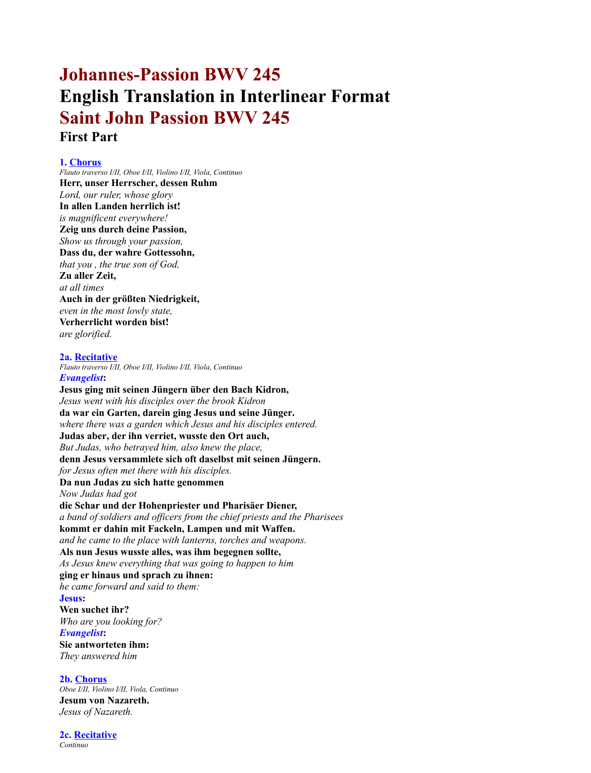# **Johannes-Passion BWV 245 English Translation in Interlinear Format Saint John Passion BWV 245 First Part**

# **1. Chorus**

*Flauto traverso I/II, Oboe I/II, Violino I/II, Viola, Continuo* **Herr, unser Herrscher, dessen Ruhm** *Lord, our ruler, whose glory* **In allen Landen herrlich ist!** *is magnificent everywhere!* **Zeig uns durch deine Passion,** *Show us through your passion,* **Dass du, der wahre Gottessohn,** *that you , the true son of God,* **Zu aller Zeit,** *at all times* **Auch in der größten Niedrigkeit,** *even in the most lowly state,* **Verherrlicht worden bist!** *are glorified.* **2a. Recitative** *Flauto traverso I/II, Oboe I/II, Violino I/II, Viola, Continuo Evangelist***: Jesus ging mit seinen Jüngern über den Bach Kidron,** *Jesus went with his disciples over the brook Kidron* **da war ein Garten, darein ging Jesus und seine Jünger.** *where there was a garden which Jesus and his disciples entered.* **Judas aber, der ihn verriet, wusste den Ort auch,** *But Judas, who betrayed him, also knew the place,* **denn Jesus versammlete sich oft daselbst mit seinen Jüngern.** *for Jesus often met there with his disciples.* **Da nun Judas zu sich hatte genommen** *Now Judas had got* **die Schar und der Hohenpriester und Pharisäer Diener,** *a band of soldiers and officers from the chief priests and the Pharisees* **kommt er dahin mit Fackeln, Lampen und mit Waffen.** *and he came to the place with lanterns, torches and weapons.* **Als nun Jesus wusste alles, was ihm begegnen sollte,** *As Jesus knew everything that was going to happen to him* **ging er hinaus und sprach zu ihnen:** *he came forward and said to them:* **Jesus: Wen suchet ihr?** *Who are you looking for? Evangelist***: Sie antworteten ihm:** *They answered him* **2b. Chorus**

*Oboe I/II, Violino I/II, Viola, Continuo* **Jesum von Nazareth.** *Jesus of Nazareth.*

**2c. Recitative** *Continuo*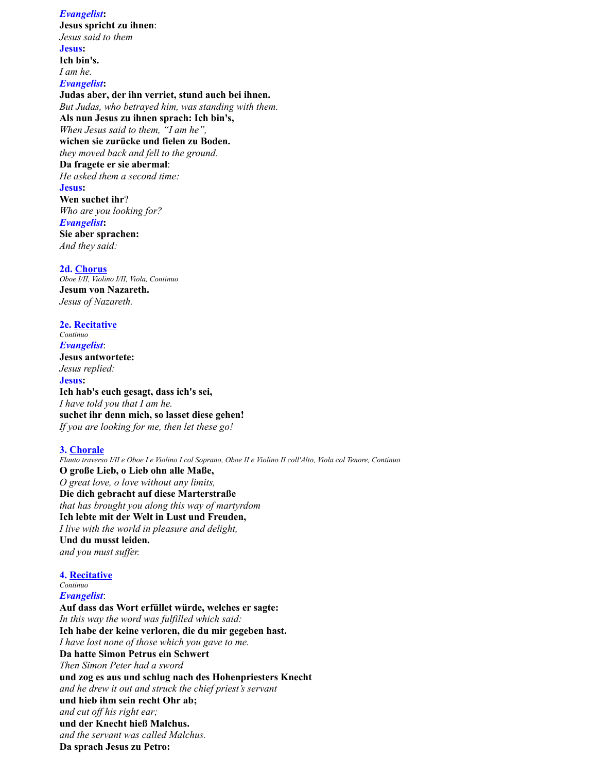*Evangelist***: Jesus spricht zu ihnen**: *Jesus said to them* **Jesus: Ich bin's.** *I am he. Evangelist***: Judas aber, der ihn verriet, stund auch bei ihnen.** *But Judas, who betrayed him, was standing with them.* **Als nun Jesus zu ihnen sprach: Ich bin's,** *When Jesus said to them, "I am he",* **wichen sie zurücke und fielen zu Boden.** *they moved back and fell to the ground.* **Da fragete er sie abermal**: *He asked them a second time:* **Jesus: Wen suchet ihr**? *Who are you looking for? Evangelist***: Sie aber sprachen:** *And they said:*

**2d. Chorus** *Oboe I/II, Violino I/II, Viola, Continuo* **Jesum von Nazareth.** *Jesus of Nazareth.*

**2e. Recitative** *Continuo Evangelist*: **Jesus antwortete:** *Jesus replied:* **Jesus: Ich hab's euch gesagt, dass ich's sei,** *I have told you that I am he.* **suchet ihr denn mich, so lasset diese gehen!** *If you are looking for me, then let these go!*

#### **3. Chorale**

*Flauto traverso I/II e Oboe I e Violino I col Soprano, Oboe II e Violino II coll'Alto, Viola col Tenore, Continuo* **O große Lieb, o Lieb ohn alle Maße,** *O great love, o love without any limits,* **Die dich gebracht auf diese Marterstraße** *that has brought you along this way of martyrdom* **Ich lebte mit der Welt in Lust und Freuden,** *I live with the world in pleasure and delight,* **Und du musst leiden.** *and you must suffer.*

# **4. Recitative**

*Continuo Evangelist*:

**Auf dass das Wort erfüllet würde, welches er sagte:** *In this way the word was fulfilled which said:* **Ich habe der keine verloren, die du mir gegeben hast.** *I have lost none of those which you gave to me.* **Da hatte Simon Petrus ein Schwert** *Then Simon Peter had a sword* **und zog es aus und schlug nach des Hohenpriesters Knecht** *and he drew it out and struck the chief priest's servant* **und hieb ihm sein recht Ohr ab;** *and cut off his right ear;* **und der Knecht hieß Malchus.** *and the servant was called Malchus.* **Da sprach Jesus zu Petro:**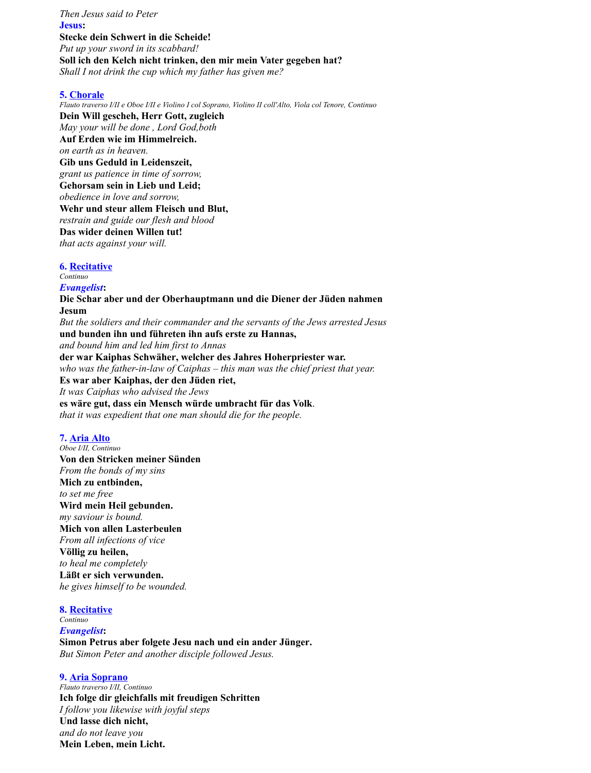*Then Jesus said to Peter* **Jesus: Stecke dein Schwert in die Scheide!** *Put up your sword in its scabbard!* **Soll ich den Kelch nicht trinken, den mir mein Vater gegeben hat?** *Shall I not drink the cup which my father has given me?*

#### **5. Chorale**

*Flauto traverso I/II e Oboe I/II e Violino I col Soprano, Violino II coll'Alto, Viola col Tenore, Continuo* **Dein Will gescheh, Herr Gott, zugleich** *May your will be done , Lord God,both* **Auf Erden wie im Himmelreich.** *on earth as in heaven.* **Gib uns Geduld in Leidenszeit,** *grant us patience in time of sorrow,* **Gehorsam sein in Lieb und Leid;** *obedience in love and sorrow,* **Wehr und steur allem Fleisch und Blut,** *restrain and guide our flesh and blood* **Das wider deinen Willen tut!** *that acts against your will.*

# **6. Recitative**

*Continuo*

*Evangelist***: Die Schar aber und der Oberhauptmann und die Diener der Jüden nahmen Jesum** *But the soldiers and their commander and the servants of the Jews arrested Jesus* **und bunden ihn und führeten ihn aufs erste zu Hannas,** *and bound him and led him first to Annas* **der war Kaiphas Schwäher, welcher des Jahres Hoherpriester war.** *who was the father-in-law of Caiphas – this man was the chief priest that year.* **Es war aber Kaiphas, der den Jüden riet,** *It was Caiphas who advised the Jews* **es wäre gut, dass ein Mensch würde umbracht für das Volk**. *that it was expedient that one man should die for the people.*

#### **7. Aria Alto**

*Oboe I/II, Continuo* **Von den Stricken meiner Sünden** *From the bonds of my sins* **Mich zu entbinden,** *to set me free* **Wird mein Heil gebunden.** *my saviour is bound.* **Mich von allen Lasterbeulen** *From all infections of vice* **Völlig zu heilen,** *to heal me completely* **Läßt er sich verwunden.** *he gives himself to be wounded.*

#### **8. Recitative**

*Continuo Evangelist***: Simon Petrus aber folgete Jesu nach und ein ander Jünger.** *But Simon Peter and another disciple followed Jesus.*

#### **9. Aria Soprano**

*Flauto traverso I/II, Continuo* **Ich folge dir gleichfalls mit freudigen Schritten** *I follow you likewise with joyful steps* **Und lasse dich nicht,** *and do not leave you* **Mein Leben, mein Licht.**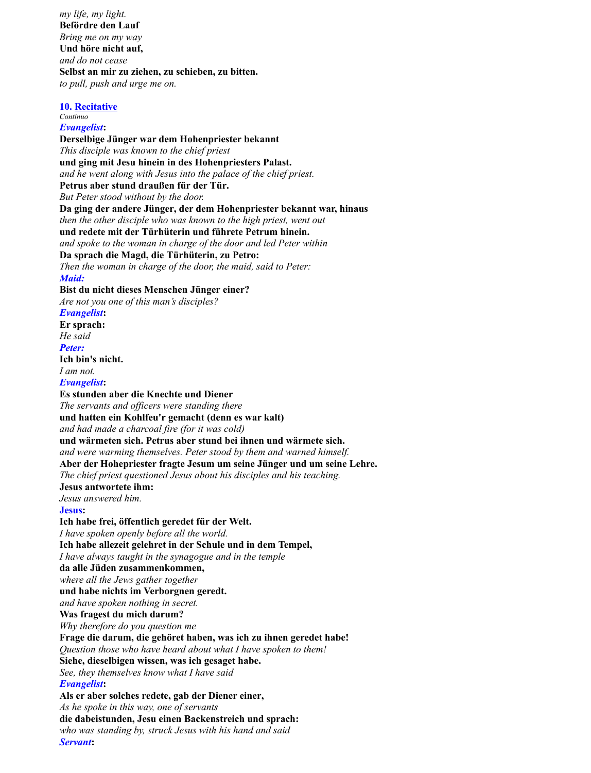*my life, my light.* **Befördre den Lauf** *Bring me on my way* **Und höre nicht auf,** *and do not cease* **Selbst an mir zu ziehen, zu schieben, zu bitten.** *to pull, push and urge me on.*

**10. Recitative**

*Servant***:**

*Continuo Evangelist***: Derselbige Jünger war dem Hohenpriester bekannt** *This disciple was known to the chief priest* **und ging mit Jesu hinein in des Hohenpriesters Palast.** *and he went along with Jesus into the palace of the chief priest.* **Petrus aber stund draußen für der Tür.** *But Peter stood without by the door.* **Da ging der andere Jünger, der dem Hohenpriester bekannt war, hinaus** *then the other disciple who was known to the high priest, went out* **und redete mit der Türhüterin und führete Petrum hinein.** *and spoke to the woman in charge of the door and led Peter within* **Da sprach die Magd, die Türhüterin, zu Petro:** *Then the woman in charge of the door, the maid, said to Peter: Maid:* **Bist du nicht dieses Menschen Jünger einer?** *Are not you one of this man's disciples? Evangelist***: Er sprach:** *He said Peter:* **Ich bin's nicht.** *I am not. Evangelist***: Es stunden aber die Knechte und Diener** *The servants and officers were standing there* **und hatten ein Kohlfeu'r gemacht (denn es war kalt)** *and had made a charcoal fire (for it was cold)* **und wärmeten sich. Petrus aber stund bei ihnen und wärmete sich.** *and were warming themselves. Peter stood by them and warned himself.* **Aber der Hohepriester fragte Jesum um seine Jünger und um seine Lehre.** *The chief priest questioned Jesus about his disciples and his teaching.* **Jesus antwortete ihm:** *Jesus answered him.* **Jesus: Ich habe frei, öffentlich geredet für der Welt.** *I have spoken openly before all the world.* **Ich habe allezeit gelehret in der Schule und in dem Tempel,** *I have always taught in the synagogue and in the temple* **da alle Jüden zusammenkommen,** *where all the Jews gather together* **und habe nichts im Verborgnen geredt.** *and have spoken nothing in secret.* **Was fragest du mich darum?** *Why therefore do you question me* **Frage die darum, die gehöret haben, was ich zu ihnen geredet habe!** *Question those who have heard about what I have spoken to them!* **Siehe, dieselbigen wissen, was ich gesaget habe.** *See, they themselves know what I have said Evangelist***: Als er aber solches redete, gab der Diener einer,** *As he spoke in this way, one of servants* **die dabeistunden, Jesu einen Backenstreich und sprach:** *who was standing by, struck Jesus with his hand and said*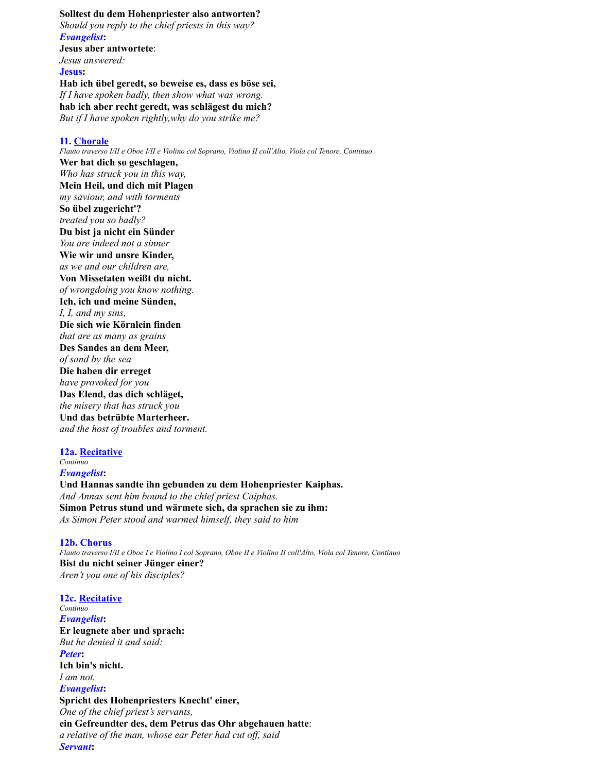# **Solltest du dem Hohenpriester also antworten?**

*Should you reply to the chief priests in this way? Evangelist***: Jesus aber antwortete**: *Jesus answered:* **Jesus: Hab ich übel geredt, so beweise es, dass es böse sei,** *If I have spoken badly, then show what was wrong.*

**hab ich aber recht geredt, was schlägest du mich?**

*But if I have spoken rightly,why do you strike me?*

### **11. Chorale**

*Flauto traverso I/II e Oboe I/II e Violino col Soprano, Violino II coll'Alto, Viola col Tenore, Continuo* **Wer hat dich so geschlagen,** *Who has struck you in this way,* **Mein Heil, und dich mit Plagen** *my saviour, and with torments* **So übel zugericht'?** *treated you so badly?* **Du bist ja nicht ein Sünder** *You are indeed not a sinner* **Wie wir und unsre Kinder,** *as we and our children are,* **Von Missetaten weißt du nicht.** *of wrongdoing you know nothing.* **Ich, ich und meine Sünden,** *I, I, and my sins,* **Die sich wie Körnlein finden** *that are as many as grains* **Des Sandes an dem Meer,** *of sand by the sea* **Die haben dir erreget** *have provoked for you* **Das Elend, das dich schläget,** *the misery that has struck you* **Und das betrübte Marterheer.** *and the host of troubles and torment.*

**12a. Recitative** *Continuo Evangelist***:**

**Und Hannas sandte ihn gebunden zu dem Hohenpriester Kaiphas.** *And Annas sent him bound to the chief priest Caiphas.* **Simon Petrus stund und wärmete sich, da sprachen sie zu ihm:** *As Simon Peter stood and warmed himself, they said to him*

## **12b. Chorus**

*Flauto traverso I/II e Oboe I e Violino I col Soprano, Oboe II e Violino II coll'Alto, Viola col Tenore, Continuo* **Bist du nicht seiner Jünger einer?** *Aren't you one of his disciples?*

**12c. Recitative** *Continuo Evangelist***: Er leugnete aber und sprach:** *But he denied it and said: Peter***: Ich bin's nicht.** *I am not. Evangelist***: Spricht des Hohenpriesters Knecht' einer,** *One of the chief priest's servants,* **ein Gefreundter des, dem Petrus das Ohr abgehauen hatte**: *a relative of the man, whose ear Peter had cut off, said Servant***:**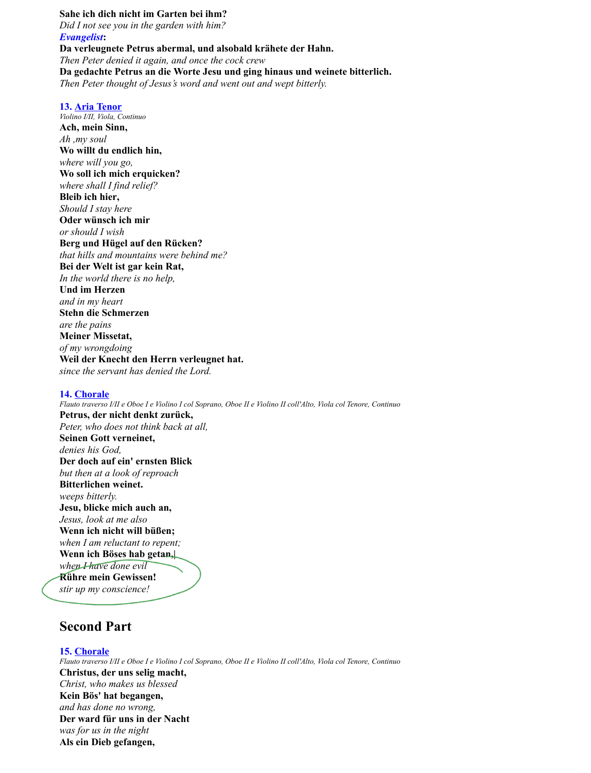**Sahe ich dich nicht im Garten bei ihm?** *Did I not see you in the garden with him? Evangelist***: Da verleugnete Petrus abermal, und alsobald krähete der Hahn.** *Then Peter denied it again, and once the cock crew* **Da gedachte Petrus an die Worte Jesu und ging hinaus und weinete bitterlich.** *Then Peter thought of Jesus's word and went out and wept bitterly.*

#### **13. Aria Tenor**

*Violino I/II, Viola, Continuo* **Ach, mein Sinn,** *Ah ,my soul* **Wo willt du endlich hin,** *where will you go,* **Wo soll ich mich erquicken?** *where shall I find relief?* **Bleib ich hier,** *Should I stay here* **Oder wünsch ich mir** *or should I wish* **Berg und Hügel auf den Rücken?** *that hills and mountains were behind me?* **Bei der Welt ist gar kein Rat,** *In the world there is no help,* **Und im Herzen** *and in my heart* **Stehn die Schmerzen** *are the pains* **Meiner Missetat,** *of my wrongdoing* **Weil der Knecht den Herrn verleugnet hat.** *since the servant has denied the Lord.*

#### **14. Chorale**

*Flauto traverso I/II e Oboe I e Violino I col Soprano, Oboe II e Violino II coll'Alto, Viola col Tenore, Continuo* **Petrus, der nicht denkt zurück,** *Peter, who does not think back at all,* **Seinen Gott verneinet,** *denies his God,* **Der doch auf ein' ernsten Blick** *but then at a look of reproach* **Bitterlichen weinet.** *weeps bitterly.* **Jesu, blicke mich auch an,** *Jesus, look at me also* **Wenn ich nicht will büßen;** *when I am reluctant to repent;* **Wenn ich Böses hab getan,|** *when I have done evil* **Rühre mein Gewissen!** *stir up my conscience!*

# **Second Part**

**15. Chorale** *Flauto traverso I/II e Oboe I e Violino I col Soprano, Oboe II e Violino II coll'Alto, Viola col Tenore, Continuo* **Christus, der uns selig macht,** *Christ, who makes us blessed* **Kein Bös' hat begangen,** *and has done no wrong,* **Der ward für uns in der Nacht** *was for us in the night* **Als ein Dieb gefangen,**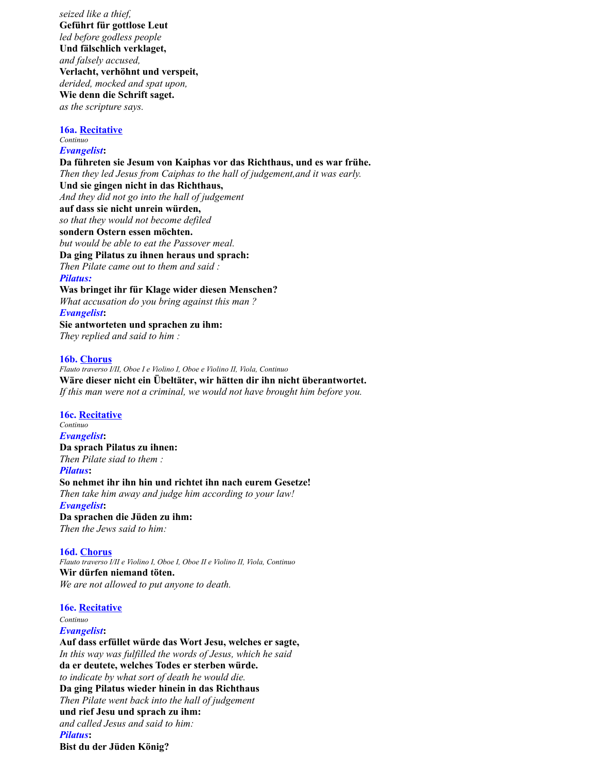*seized like a thief,* **Geführt für gottlose Leut** *led before godless people* **Und fälschlich verklaget,** *and falsely accused,* **Verlacht, verhöhnt und verspeit,** *derided, mocked and spat upon,* **Wie denn die Schrift saget.** *as the scripture says.*

**16a. Recitative** *Continuo*

# *Evangelist***:**

**Da führeten sie Jesum von Kaiphas vor das Richthaus, und es war frühe.** *Then they led Jesus from Caiphas to the hall of judgement,and it was early.* **Und sie gingen nicht in das Richthaus,** *And they did not go into the hall of judgement* **auf dass sie nicht unrein würden,** *so that they would not become defiled* **sondern Ostern essen möchten.** *but would be able to eat the Passover meal.* **Da ging Pilatus zu ihnen heraus und sprach:** *Then Pilate came out to them and said : Pilatus:* **Was bringet ihr für Klage wider diesen Menschen?** *What accusation do you bring against this man ? Evangelist***: Sie antworteten und sprachen zu ihm:** *They replied and said to him :* **16b. Chorus**

*Flauto traverso I/II, Oboe I e Violino I, Oboe e Violino II, Viola, Continuo* **Wäre dieser nicht ein Übeltäter, wir hätten dir ihn nicht überantwortet.** *If this man were not a criminal, we would not have brought him before you.*

**16c. Recitative** *Continuo Evangelist***: Da sprach Pilatus zu ihnen:** *Then Pilate siad to them : Pilatus***: So nehmet ihr ihn hin und richtet ihn nach eurem Gesetze!** *Then take him away and judge him according to your law! Evangelist***: Da sprachen die Jüden zu ihm:** *Then the Jews said to him:*

## **16d. Chorus**

*Flauto traverso I/II e Violino I, Oboe I, Oboe II e Violino II, Viola, Continuo* **Wir dürfen niemand töten.** *We are not allowed to put anyone to death.*

**16e. Recitative**

*Continuo*

*Evangelist***:**

**Auf dass erfüllet würde das Wort Jesu, welches er sagte,** *In this way was fulfilled the words of Jesus, which he said* **da er deutete, welches Todes er sterben würde.** *to indicate by what sort of death he would die.* **Da ging Pilatus wieder hinein in das Richthaus** *Then Pilate went back into the hall of judgement* **und rief Jesu und sprach zu ihm:** *and called Jesus and said to him: Pilatus***: Bist du der Jüden König?**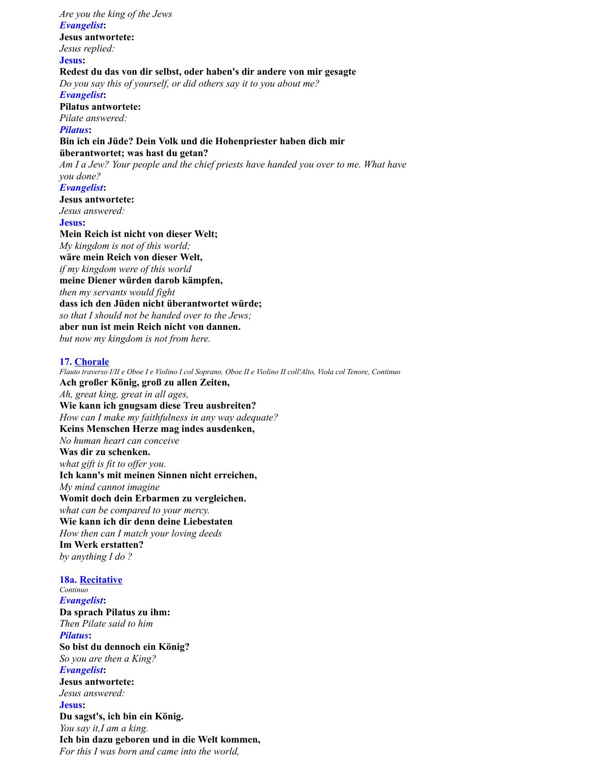*Are you the king of the Jews Evangelist***: Jesus antwortete:** *Jesus replied:* **Jesus: Redest du das von dir selbst, oder haben's dir andere von mir gesagte** *Do you say this of yourself, or did others say it to you about me? Evangelist***: Pilatus antwortete:** *Pilate answered: Pilatus***: Bin ich ein Jüde? Dein Volk und die Hohenpriester haben dich mir überantwortet; was hast du getan?** *Am I a Jew? Your people and the chief priests have handed you over to me. What have you done? Evangelist***: Jesus antwortete:** *Jesus answered:* **Jesus: Mein Reich ist nicht von dieser Welt;** *My kingdom is not of this world;* **wäre mein Reich von dieser Welt,** *if my kingdom were of this world* **meine Diener würden darob kämpfen,** *then my servants would fight* **dass ich den Jüden nicht überantwortet würde;** *so that I should not be handed over to the Jews;* **aber nun ist mein Reich nicht von dannen.** *but now my kingdom is not from here.* **17. Chorale** *Flauto traverso I/II e Oboe I e Violino I col Soprano, Oboe II e Violino II coll'Alto, Viola col Tenore, Continuo* **Ach großer König, groß zu allen Zeiten,** *Ah, great king, great in all ages,* **Wie kann ich gnugsam diese Treu ausbreiten?** *How can I make my faithfulness in any way adequate?*

*No human heart can conceive* **Was dir zu schenken.** *what gift is fit to offer you.* **Ich kann's mit meinen Sinnen nicht erreichen,** *My mind cannot imagine* **Womit doch dein Erbarmen zu vergleichen.** *what can be compared to your mercy.* **Wie kann ich dir denn deine Liebestaten** *How then can I match your loving deeds* **Im Werk erstatten?**

**Keins Menschen Herze mag indes ausdenken,**

*by anything I do ?*

**18a. Recitative** *Continuo Evangelist***: Da sprach Pilatus zu ihm:** *Then Pilate said to him Pilatus***: So bist du dennoch ein König?** *So you are then a King? Evangelist***: Jesus antwortete:** *Jesus answered:* **Jesus: Du sagst's, ich bin ein König.** *You say it,I am a king.* **Ich bin dazu geboren und in die Welt kommen,** *For this I was born and came into the world,*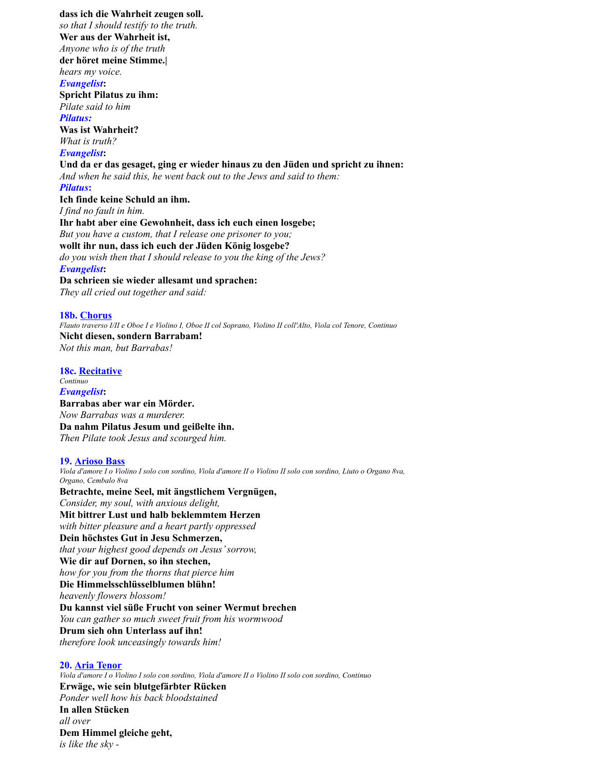**dass ich die Wahrheit zeugen soll.** *so that I should testify to the truth.* **Wer aus der Wahrheit ist,** *Anyone who is of the truth* **der höret meine Stimme.|** *hears my voice. Evangelist***: Spricht Pilatus zu ihm:** *Pilate said to him Pilatus:* **Was ist Wahrheit?** *What is truth? Evangelist***: Und da er das gesaget, ging er wieder hinaus zu den Jüden und spricht zu ihnen:** *And when he said this, he went back out to the Jews and said to them: Pilatus***: Ich finde keine Schuld an ihm.** *I find no fault in him.* **Ihr habt aber eine Gewohnheit, dass ich euch einen losgebe;** *But you have a custom, that I release one prisoner to you;* **wollt ihr nun, dass ich euch der Jüden König losgebe?** *do you wish then that I should release to you the king of the Jews? Evangelist***: Da schrieen sie wieder allesamt und sprachen:** *They all cried out together and said:*

#### **18b. Chorus**

*Flauto traverso I/II e Oboe I e Violino I, Oboe II col Soprano, Violino II coll'Alto, Viola col Tenore, Continuo* **Nicht diesen, sondern Barrabam!** *Not this man, but Barrabas!*

### **18c. Recitative**

*Continuo Evangelist***: Barrabas aber war ein Mörder.** *Now Barrabas was a murderer.* **Da nahm Pilatus Jesum und geißelte ihn.** *Then Pilate took Jesus and scourged him.*

#### **19. Arioso Bass**

*Viola d'amore I o Violino I solo con sordino, Viola d'amore II o Violino II solo con sordino, Liuto o Organo 8va, Organo, Cembalo 8va* **Betrachte, meine Seel, mit ängstlichem Vergnügen,** *Consider, my soul, with anxious delight,* **Mit bittrer Lust und halb beklemmtem Herzen** *with bitter pleasure and a heart partly oppressed* **Dein höchstes Gut in Jesu Schmerzen,** *that your highest good depends on Jesus' sorrow,* **Wie dir auf Dornen, so ihn stechen,** *how for you from the thorns that pierce him* **Die Himmelsschlüsselblumen blühn!** *heavenly flowers blossom!* **Du kannst viel süße Frucht von seiner Wermut brechen** *You can gather so much sweet fruit from his wormwood* **Drum sieh ohn Unterlass auf ihn!** *therefore look unceasingly towards him!*

#### **20. Aria Tenor**

*Viola d'amore I o Violino I solo con sordino, Viola d'amore II o Violino II solo con sordino, Continuo* **Erwäge, wie sein blutgefärbter Rücken** *Ponder well how his back bloodstained* **In allen Stücken** *all over* **Dem Himmel gleiche geht,** *is like the sky -*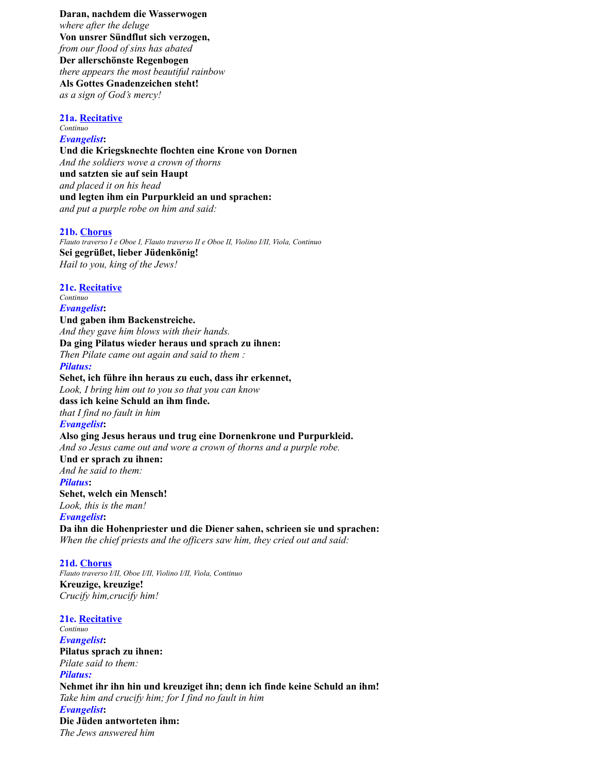**Daran, nachdem die Wasserwogen** *where after the deluge* **Von unsrer Sündflut sich verzogen,** *from our flood of sins has abated* **Der allerschönste Regenbogen** *there appears the most beautiful rainbow* **Als Gottes Gnadenzeichen steht!** *as a sign of God's mercy!*

#### **21a. Recitative** *Continuo*

# *Evangelist***:**

**Und die Kriegsknechte flochten eine Krone von Dornen** *And the soldiers wove a crown of thorns* **und satzten sie auf sein Haupt** *and placed it on his head* **und legten ihm ein Purpurkleid an und sprachen:** *and put a purple robe on him and said:*

#### **21b. Chorus**

*Flauto traverso I e Oboe I, Flauto traverso II e Oboe II, Violino I/II, Viola, Continuo* **Sei gegrüßet, lieber Jüdenkönig!** *Hail to you, king of the Jews!*

#### **21c. Recitative**

*Continuo Evangelist***: Und gaben ihm Backenstreiche.** *And they gave him blows with their hands.* **Da ging Pilatus wieder heraus und sprach zu ihnen:** *Then Pilate came out again and said to them : Pilatus:* **Sehet, ich führe ihn heraus zu euch, dass ihr erkennet,** *Look, I bring him out to you so that you can know* **dass ich keine Schuld an ihm finde.** *that I find no fault in him Evangelist***: Also ging Jesus heraus und trug eine Dornenkrone und Purpurkleid.** *And so Jesus came out and wore a crown of thorns and a purple robe.* **Und er sprach zu ihnen:** *And he said to them: Pilatus***: Sehet, welch ein Mensch!** *Look, this is the man! Evangelist***: Da ihn die Hohenpriester und die Diener sahen, schrieen sie und sprachen:** *When the chief priests and the officers saw him, they cried out and said:*

**21d. Chorus** *Flauto traverso I/II, Oboe I/II, Violino I/II, Viola, Continuo* **Kreuzige, kreuzige!** *Crucify him,crucify him!*

**21e. Recitative** *Continuo Evangelist***: Pilatus sprach zu ihnen:** *Pilate said to them: Pilatus:* **Nehmet ihr ihn hin und kreuziget ihn; denn ich finde keine Schuld an ihm!** *Take him and crucify him; for I find no fault in him Evangelist***: Die Jüden antworteten ihm:** *The Jews answered him*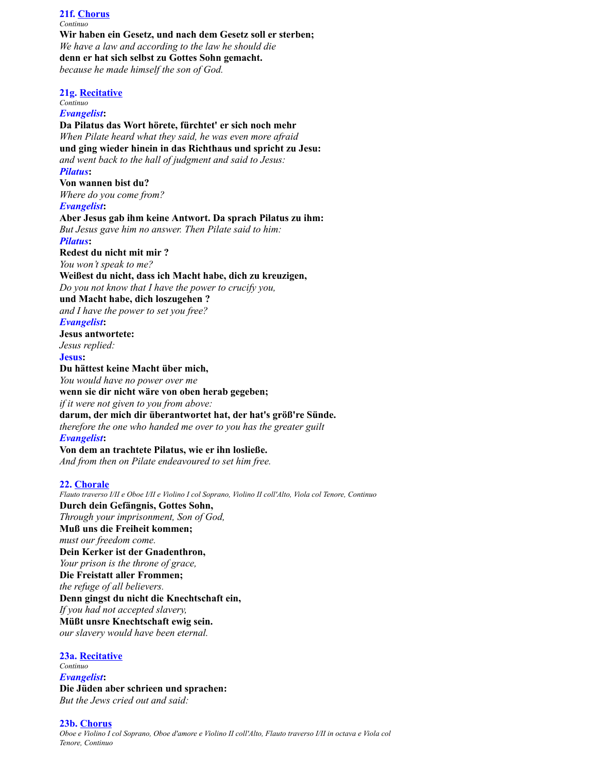**21f. Chorus** *Continuo* **Wir haben ein Gesetz, und nach dem Gesetz soll er sterben;** *We have a law and according to the law he should die* **denn er hat sich selbst zu Gottes Sohn gemacht.** *because he made himself the son of God.* **21g. Recitative** *Continuo Evangelist***: Da Pilatus das Wort hörete, fürchtet' er sich noch mehr** *When Pilate heard what they said, he was even more afraid* **und ging wieder hinein in das Richthaus und spricht zu Jesu:** *and went back to the hall of judgment and said to Jesus: Pilatus***: Von wannen bist du?** *Where do you come from? Evangelist***: Aber Jesus gab ihm keine Antwort. Da sprach Pilatus zu ihm:** *But Jesus gave him no answer. Then Pilate said to him: Pilatus***: Redest du nicht mit mir ?** *You won't speak to me?* **Weißest du nicht, dass ich Macht habe, dich zu kreuzigen,** *Do you not know that I have the power to crucify you,* **und Macht habe, dich loszugehen ?** *and I have the power to set you free? Evangelist***: Jesus antwortete:** *Jesus replied:* **Jesus: Du hättest keine Macht über mich,** *You would have no power over me* **wenn sie dir nicht wäre von oben herab gegeben;** *if it were not given to you from above:* **darum, der mich dir überantwortet hat, der hat's größ're Sünde.** *therefore the one who handed me over to you has the greater guilt Evangelist***: Von dem an trachtete Pilatus, wie er ihn losließe.** *And from then on Pilate endeavoured to set him free.* **22. Chorale** *Flauto traverso I/II e Oboe I/II e Violino I col Soprano, Violino II coll'Alto, Viola col Tenore, Continuo* **Durch dein Gefängnis, Gottes Sohn,** *Through your imprisonment, Son of God,* **Muß uns die Freiheit kommen;** *must our freedom come.*

**Dein Kerker ist der Gnadenthron,** *Your prison is the throne of grace,* **Die Freistatt aller Frommen;** *the refuge of all believers.* **Denn gingst du nicht die Knechtschaft ein,** *If you had not accepted slavery,* **Müßt unsre Knechtschaft ewig sein.** *our slavery would have been eternal.*

**23a. Recitative** *Continuo Evangelist***: Die Jüden aber schrieen und sprachen:** *But the Jews cried out and said:*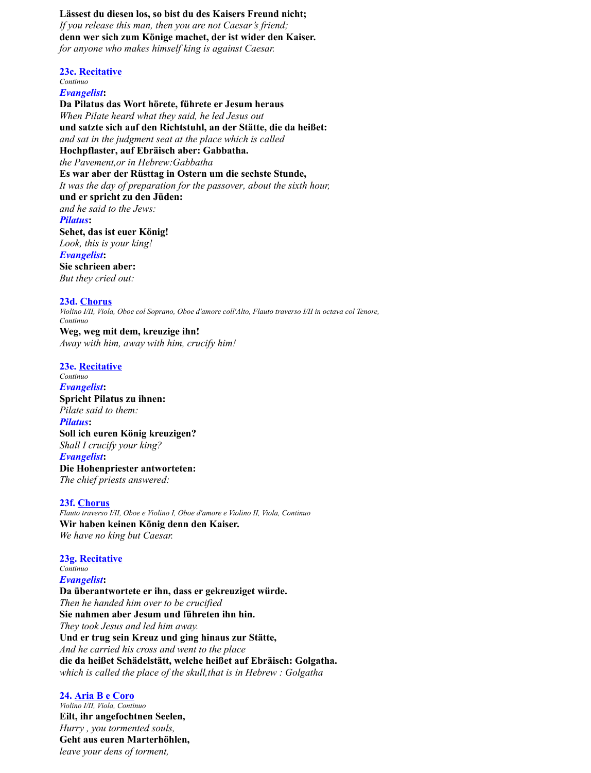**Lässest du diesen los, so bist du des Kaisers Freund nicht;** *If you release this man, then you are not Caesar's friend;* **denn wer sich zum Könige machet, der ist wider den Kaiser.** *for anyone who makes himself king is against Caesar.*

**23c. Recitative** *Continuo Evangelist***: Da Pilatus das Wort hörete, führete er Jesum heraus** *When Pilate heard what they said, he led Jesus out* **und satzte sich auf den Richtstuhl, an der Stätte, die da heißet:** *and sat in the judgment seat at the place which is called* **Hochpflaster, auf Ebräisch aber: Gabbatha.** *the Pavement,or in Hebrew:Gabbatha* **Es war aber der Rüsttag in Ostern um die sechste Stunde,** *It was the day of preparation for the passover, about the sixth hour,* **und er spricht zu den Jüden:** *and he said to the Jews: Pilatus***: Sehet, das ist euer König!** *Look, this is your king! Evangelist***: Sie schrieen aber:** *But they cried out:*

**23d. Chorus** *Violino I/II, Viola, Oboe col Soprano, Oboe d'amore coll'Alto, Flauto traverso I/II in octava col Tenore, Continuo* **Weg, weg mit dem, kreuzige ihn!**

*Away with him, away with him, crucify him!*

#### **23e. Recitative**

*Continuo Evangelist***: Spricht Pilatus zu ihnen:** *Pilate said to them: Pilatus***: Soll ich euren König kreuzigen?** *Shall I crucify your king? Evangelist***: Die Hohenpriester antworteten:** *The chief priests answered:*

### **23f. Chorus**

*Flauto traverso I/II, Oboe e Violino I, Oboe d'amore e Violino II, Viola, Continuo* **Wir haben keinen König denn den Kaiser.** *We have no king but Caesar.*

**23g. Recitative** *Continuo Evangelist***: Da überantwortete er ihn, dass er gekreuziget würde.** *Then he handed him over to be crucified* **Sie nahmen aber Jesum und führeten ihn hin.** *They took Jesus and led him away.* **Und er trug sein Kreuz und ging hinaus zur Stätte,** *And he carried his cross and went to the place* **die da heißet Schädelstätt, welche heißet auf Ebräisch: Golgatha.** *which is called the place of the skull,that is in Hebrew : Golgatha*

**24. Aria B e Coro** *Violino I/II, Viola, Continuo* **Eilt, ihr angefochtnen Seelen,** *Hurry , you tormented souls,* **Geht aus euren Marterhöhlen,** *leave your dens of torment,*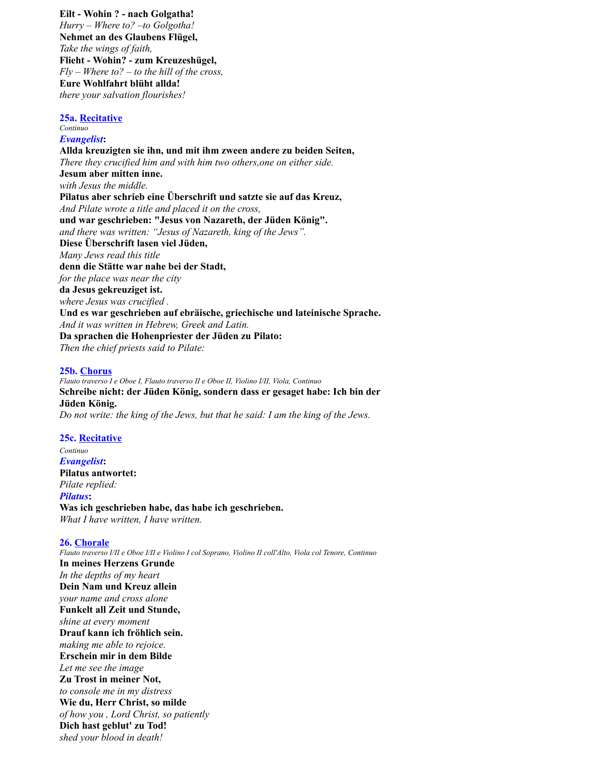**Eilt - Wohin ? - nach Golgatha!** *Hurry – Where to? –to Golgotha!* **Nehmet an des Glaubens Flügel,** *Take the wings of faith,* **Flieht - Wohin? - zum Kreuzeshügel,** *Fly – Where to? – to the hill of the cross,* **Eure Wohlfahrt blüht allda!** *there your salvation flourishes!*

#### **25a. Recitative**

#### *Continuo Evangelist***:**

**Allda kreuzigten sie ihn, und mit ihm zween andere zu beiden Seiten,** *There they crucified him and with him two others,one on either side.* **Jesum aber mitten inne.** *with Jesus the middle.* **Pilatus aber schrieb eine Überschrift und satzte sie auf das Kreuz,** *And Pilate wrote a title and placed it on the cross,* **und war geschrieben: "Jesus von Nazareth, der Jüden König".** *and there was written: "Jesus of Nazareth, king of the Jews".* **Diese Überschrift lasen viel Jüden,** *Many Jews read this title* **denn die Stätte war nahe bei der Stadt,** *for the place was near the city* **da Jesus gekreuziget ist.** *where Jesus was crucified .* **Und es war geschrieben auf ebräische, griechische und lateinische Sprache.** *And it was written in Hebrew, Greek and Latin.* **Da sprachen die Hohenpriester der Jüden zu Pilato:** *Then the chief priests said to Pilate:*

### **25b. Chorus**

*Flauto traverso I e Oboe I, Flauto traverso II e Oboe II, Violino I/II, Viola, Continuo* **Schreibe nicht: der Jüden König, sondern dass er gesaget habe: Ich bin der Jüden König.** *Do not write: the king of the Jews, but that he said: I am the king of the Jews.*

### **25c. Recitative**

*Continuo Evangelist***: Pilatus antwortet:** *Pilate replied: Pilatus***: Was ich geschrieben habe, das habe ich geschrieben.** *What I have written, I have written.*

### **26. Chorale**

*Flauto traverso I/II e Oboe I/II e Violino I col Soprano, Violino II coll'Alto, Viola col Tenore, Continuo* **In meines Herzens Grunde** *In the depths of my heart* **Dein Nam und Kreuz allein** *your name and cross alone* **Funkelt all Zeit und Stunde,** *shine at every moment* **Drauf kann ich fröhlich sein.** *making me able to rejoice.* **Erschein mir in dem Bilde** *Let me see the image* **Zu Trost in meiner Not,** *to console me in my distress* **Wie du, Herr Christ, so milde** *of how you , Lord Christ, so patiently* **Dich hast geblut' zu Tod!** *shed your blood in death!*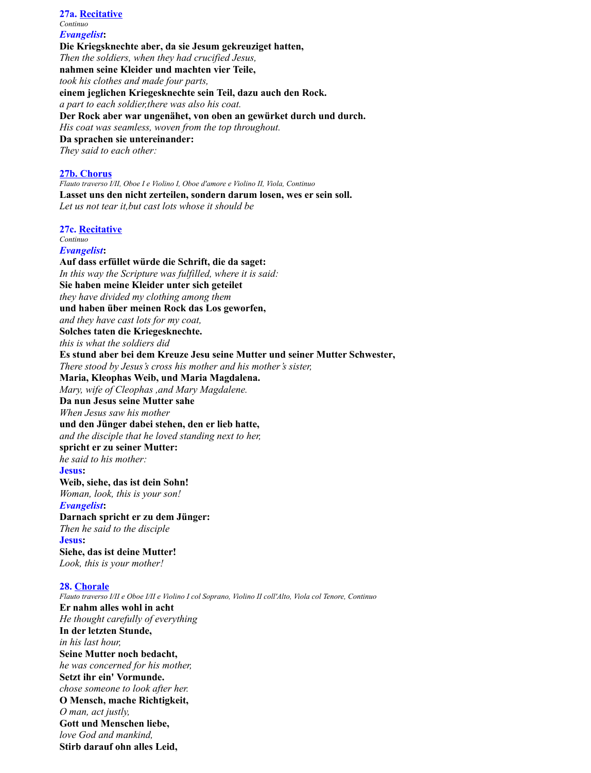*Continuo Evangelist***: Die Kriegsknechte aber, da sie Jesum gekreuziget hatten,** *Then the soldiers, when they had crucified Jesus,* **nahmen seine Kleider und machten vier Teile,** *took his clothes and made four parts,* **einem jeglichen Kriegesknechte sein Teil, dazu auch den Rock.** *a part to each soldier,there was also his coat.* **Der Rock aber war ungenähet, von oben an gewürket durch und durch.** *His coat was seamless, woven from the top throughout.* **Da sprachen sie untereinander:** *They said to each other:*

## **27b. Chorus**

**27a. Recitative**

*Flauto traverso I/II, Oboe I e Violino I, Oboe d'amore e Violino II, Viola, Continuo* **Lasset uns den nicht zerteilen, sondern darum losen, wes er sein soll.** *Let us not tear it,but cast lots whose it should be*

**27c. Recitative**

#### *Continuo Evangelist***:**

**Auf dass erfüllet würde die Schrift, die da saget:** *In this way the Scripture was fulfilled, where it is said:* **Sie haben meine Kleider unter sich geteilet** *they have divided my clothing among them* **und haben über meinen Rock das Los geworfen,** *and they have cast lots for my coat,* **Solches taten die Kriegesknechte.** *this is what the soldiers did* **Es stund aber bei dem Kreuze Jesu seine Mutter und seiner Mutter Schwester,** *There stood by Jesus's cross his mother and his mother's sister,* **Maria, Kleophas Weib, und Maria Magdalena.** *Mary, wife of Cleophas ,and Mary Magdalene.* **Da nun Jesus seine Mutter sahe** *When Jesus saw his mother* **und den Jünger dabei stehen, den er lieb hatte,** *and the disciple that he loved standing next to her,* **spricht er zu seiner Mutter:** *he said to his mother:* **Jesus: Weib, siehe, das ist dein Sohn!** *Woman, look, this is your son! Evangelist***: Darnach spricht er zu dem Jünger:** *Then he said to the disciple* **Jesus: Siehe, das ist deine Mutter!** *Look, this is your mother!*

# **28. Chorale**

*Flauto traverso I/II e Oboe I/II e Violino I col Soprano, Violino II coll'Alto, Viola col Tenore, Continuo* **Er nahm alles wohl in acht** *He thought carefully of everything* **In der letzten Stunde,** *in his last hour,* **Seine Mutter noch bedacht,** *he was concerned for his mother,* **Setzt ihr ein' Vormunde.** *chose someone to look after her.* **O Mensch, mache Richtigkeit,** *O man, act justly,* **Gott und Menschen liebe,** *love God and mankind,* **Stirb darauf ohn alles Leid,**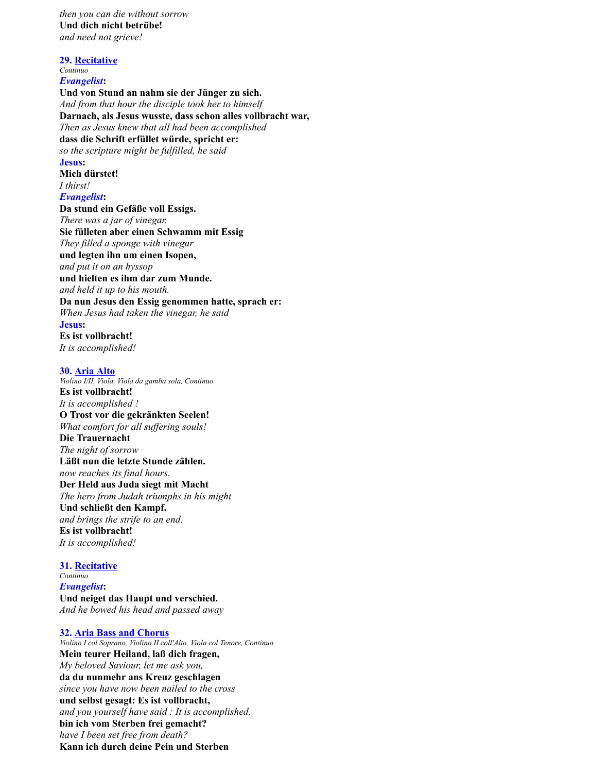*then you can die without sorrow* **Und dich nicht betrübe!** *and need not grieve!*

**29. Recitative**

*Continuo Evangelist***:**

**Und von Stund an nahm sie der Jünger zu sich.** *And from that hour the disciple took her to himself* **Darnach, als Jesus wusste, dass schon alles vollbracht war,** *Then as Jesus knew that all had been accomplished* **dass die Schrift erfüllet würde, spricht er:** *so the scripture might be fulfilled, he said* **Jesus:**

**Mich dürstet!** *I thirst! Evangelist***:**

**Da stund ein Gefäße voll Essigs.** *There was a jar of vinegar.* **Sie fülleten aber einen Schwamm mit Essig** *They filled a sponge with vinegar* **und legten ihn um einen Isopen,** *and put it on an hyssop* **und hielten es ihm dar zum Munde.** *and held it up to his mouth.* **Da nun Jesus den Essig genommen hatte, sprach er:** *When Jesus had taken the vinegar, he said* **Jesus: Es ist vollbracht!**

*It is accomplished!*

# **30. Aria Alto**

*Violino I/II, Viola, Viola da gamba sola, Continuo* **Es ist vollbracht!** *It is accomplished !* **O Trost vor die gekränkten Seelen!** *What comfort for all suffering souls!* **Die Trauernacht** *The night of sorrow* **Läßt nun die letzte Stunde zählen.** *now reaches its final hours.* **Der Held aus Juda siegt mit Macht** *The hero from Judah triumphs in his might* **Und schließt den Kampf.** *and brings the strife to an end.* **Es ist vollbracht!** *It is accomplished!*

#### **31. Recitative**

*Continuo Evangelist***: Und neiget das Haupt und verschied.** *And he bowed his head and passed away*

### **32. Aria Bass and Chorus**

*Violino I col Soprano, Violino II coll'Alto, Viola col Tenore, Continuo* **Mein teurer Heiland, laß dich fragen,** *My beloved Saviour, let me ask you,* **da du nunmehr ans Kreuz geschlagen** *since you have now been nailed to the cross* **und selbst gesagt: Es ist vollbracht,** *and you yourself have said : It is accomplished,* **bin ich vom Sterben frei gemacht?** *have I been set free from death?* **Kann ich durch deine Pein und Sterben**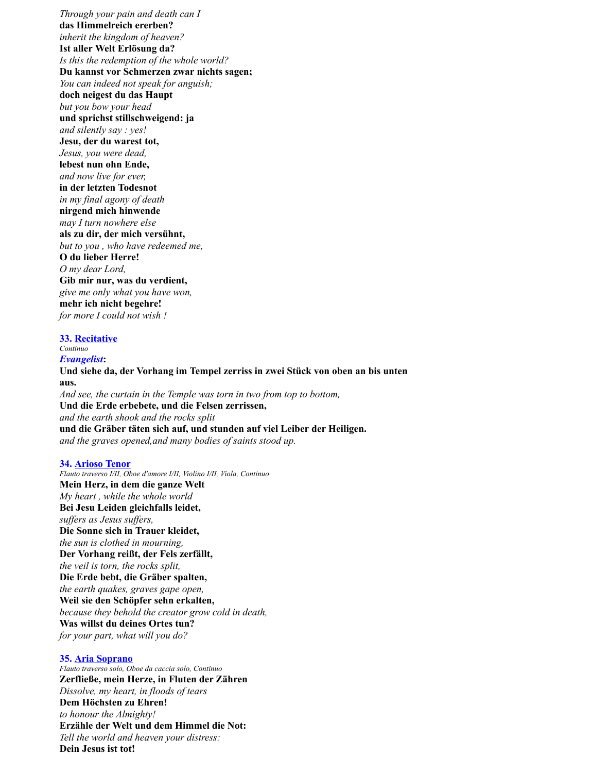*Through your pain and death can I* **das Himmelreich ererben?** *inherit the kingdom of heaven?* **Ist aller Welt Erlösung da?** *Is this the redemption of the whole world?* **Du kannst vor Schmerzen zwar nichts sagen;** *You can indeed not speak for anguish;* **doch neigest du das Haupt** *but you bow your head* **und sprichst stillschweigend: ja** *and silently say : yes!* **Jesu, der du warest tot,** *Jesus, you were dead,* **lebest nun ohn Ende,** *and now live for ever,* **in der letzten Todesnot** *in my final agony of death* **nirgend mich hinwende** *may I turn nowhere else* **als zu dir, der mich versühnt,** *but to you , who have redeemed me,* **O du lieber Herre!** *O my dear Lord,* **Gib mir nur, was du verdient,** *give me only what you have won,* **mehr ich nicht begehre!** *for more I could not wish !*

# **33. Recitative**

*Continuo*

*Evangelist***: Und siehe da, der Vorhang im Tempel zerriss in zwei Stück von oben an bis unten aus.** *And see, the curtain in the Temple was torn in two from top to bottom,* **Und die Erde erbebete, und die Felsen zerrissen,** *and the earth shook and the rocks split* **und die Gräber täten sich auf, und stunden auf viel Leiber der Heiligen.** *and the graves opened,and many bodies of saints stood up.*

## **34. Arioso Tenor**

*Flauto traverso I/II, Oboe d'amore I/II, Violino I/II, Viola, Continuo* **Mein Herz, in dem die ganze Welt** *My heart , while the whole world* **Bei Jesu Leiden gleichfalls leidet,** *suffers as Jesus suffers,* **Die Sonne sich in Trauer kleidet,** *the sun is clothed in mourning,* **Der Vorhang reißt, der Fels zerfällt,** *the veil is torn, the rocks split,* **Die Erde bebt, die Gräber spalten,** *the earth quakes, graves gape open,* **Weil sie den Schöpfer sehn erkalten,** *because they behold the creator grow cold in death,* **Was willst du deines Ortes tun?** *for your part, what will you do?*

## **35. Aria Soprano**

*Flauto traverso solo, Oboe da caccia solo, Continuo* **Zerfließe, mein Herze, in Fluten der Zähren** *Dissolve, my heart, in floods of tears* **Dem Höchsten zu Ehren!** *to honour the Almighty!* **Erzähle der Welt und dem Himmel die Not:** *Tell the world and heaven your distress:* **Dein Jesus ist tot!**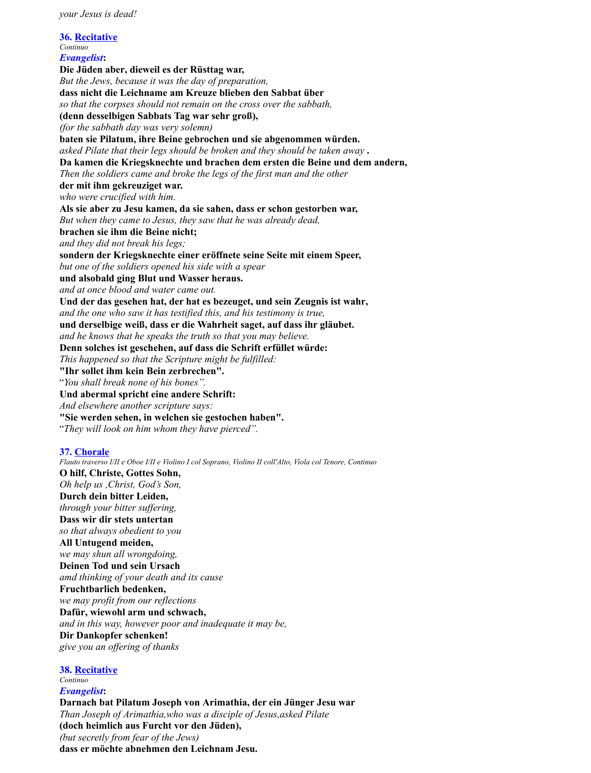**36. Recitative** *Continuo Evangelist***: Die Jüden aber, dieweil es der Rüsttag war,** *But the Jews, because it was the day of preparation,* **dass nicht die Leichname am Kreuze blieben den Sabbat über** *so that the corpses should not remain on the cross over the sabbath,* **(denn desselbigen Sabbats Tag war sehr groß),** *(for the sabbath day was very solemn)* **baten sie Pilatum, ihre Beine gebrochen und sie abgenommen würden.** *asked Pilate that their legs should be broken and they should be taken away* **. Da kamen die Kriegsknechte und brachen dem ersten die Beine und dem andern,** *Then the soldiers came and broke the legs of the first man and the other* **der mit ihm gekreuziget war.** *who were crucified with him.* **Als sie aber zu Jesu kamen, da sie sahen, dass er schon gestorben war,** *But when they came to Jesus, they saw that he was already dead,* **brachen sie ihm die Beine nicht;** *and they did not break his legs;* **sondern der Kriegsknechte einer eröffnete seine Seite mit einem Speer,** *but one of the soldiers opened his side with a spear* **und alsobald ging Blut und Wasser heraus.** *and at once blood and water came out.* **Und der das gesehen hat, der hat es bezeuget, und sein Zeugnis ist wahr,** *and the one who saw it has testified this, and his testimony is true,* **und derselbige weiß, dass er die Wahrheit saget, auf dass ihr gläubet.** *and he knows that he speaks the truth so that you may believe.* **Denn solches ist geschehen, auf dass die Schrift erfüllet würde:** *This happened so that the Scripture might be fulfilled:* **"Ihr sollet ihm kein Bein zerbrechen".** "*You shall break none of his bones".* **Und abermal spricht eine andere Schrift:** *And elsewhere another scripture says:* **"Sie werden sehen, in welchen sie gestochen haben".** "*They will look on him whom they have pierced".*

# **37. Chorale**

*Flauto traverso I/II e Oboe I/II e Violino I col Soprano, Violino II coll'Alto, Viola col Tenore, Continuo* **O hilf, Christe, Gottes Sohn,** *Oh help us ,Christ, God's Son,* **Durch dein bitter Leiden,** *through your bitter suffering,* **Dass wir dir stets untertan** *so that always obedient to you* **All Untugend meiden,** *we may shun all wrongdoing,* **Deinen Tod und sein Ursach** *amd thinking of your death and its cause* **Fruchtbarlich bedenken,** *we may profit from our reflections* **Dafür, wiewohl arm und schwach,** *and in this way, however poor and inadequate it may be,* **Dir Dankopfer schenken!** *give you an offering of thanks*

# **38. Recitative**

#### *Continuo Evangelist***:**

**Darnach bat Pilatum Joseph von Arimathia, der ein Jünger Jesu war** *Than Joseph of Arimathia,who was a disciple of Jesus,asked Pilate* **(doch heimlich aus Furcht vor den Jüden),** *(but secretly from fear of the Jews)* **dass er möchte abnehmen den Leichnam Jesu.**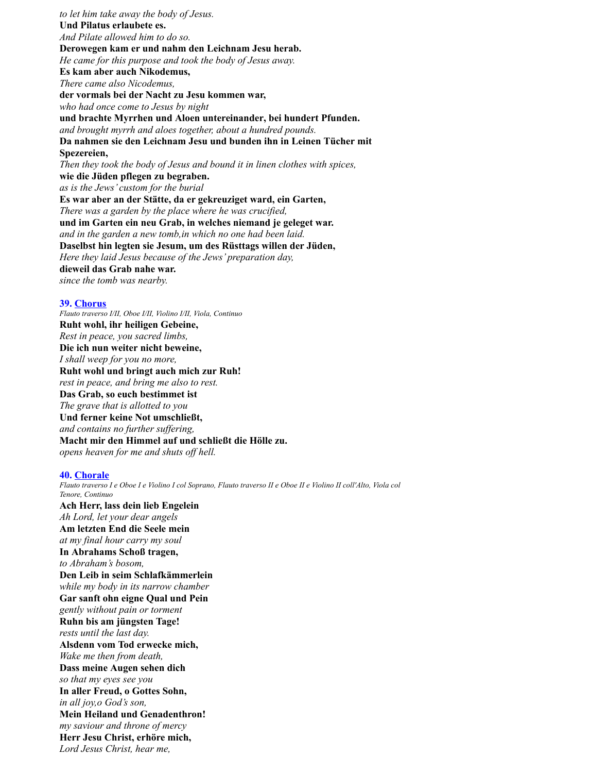*to let him take away the body of Jesus.* **Und Pilatus erlaubete es.** *And Pilate allowed him to do so.* **Derowegen kam er und nahm den Leichnam Jesu herab.** *He came for this purpose and took the body of Jesus away.* **Es kam aber auch Nikodemus,** *There came also Nicodemus,* **der vormals bei der Nacht zu Jesu kommen war,** *who had once come to Jesus by night* **und brachte Myrrhen und Aloen untereinander, bei hundert Pfunden.** *and brought myrrh and aloes together, about a hundred pounds.* **Da nahmen sie den Leichnam Jesu und bunden ihn in Leinen Tücher mit Spezereien,** *Then they took the body of Jesus and bound it in linen clothes with spices,* **wie die Jüden pflegen zu begraben.** *as is the Jews' custom for the burial* **Es war aber an der Stätte, da er gekreuziget ward, ein Garten,** *There was a garden by the place where he was crucified,* **und im Garten ein neu Grab, in welches niemand je geleget war.** *and in the garden a new tomb,in which no one had been laid.* **Daselbst hin legten sie Jesum, um des Rüsttags willen der Jüden,** *Here they laid Jesus because of the Jews' preparation day,* **dieweil das Grab nahe war.** *since the tomb was nearby.*

#### **39. Chorus**

*Flauto traverso I/II, Oboe I/II, Violino I/II, Viola, Continuo* **Ruht wohl, ihr heiligen Gebeine,** *Rest in peace, you sacred limbs,* **Die ich nun weiter nicht beweine,** *I shall weep for you no more,* **Ruht wohl und bringt auch mich zur Ruh!** *rest in peace, and bring me also to rest.* **Das Grab, so euch bestimmet ist** *The grave that is allotted to you* **Und ferner keine Not umschließt,** *and contains no further suffering,* **Macht mir den Himmel auf und schließt die Hölle zu.** *opens heaven for me and shuts off hell.*

#### **40. Chorale**

*Flauto traverso I e Oboe I e Violino I col Soprano, Flauto traverso II e Oboe II e Violino II coll'Alto, Viola col Tenore, Continuo* **Ach Herr, lass dein lieb Engelein**

*Ah Lord, let your dear angels* **Am letzten End die Seele mein** *at my final hour carry my soul* **In Abrahams Schoß tragen,** *to Abraham's bosom,* **Den Leib in seim Schlafkämmerlein** *while my body in its narrow chamber* **Gar sanft ohn eigne Qual und Pein** *gently without pain or torment* **Ruhn bis am jüngsten Tage!** *rests until the last day.* **Alsdenn vom Tod erwecke mich,** *Wake me then from death,* **Dass meine Augen sehen dich** *so that my eyes see you* **In aller Freud, o Gottes Sohn,** *in all joy,o God's son,* **Mein Heiland und Genadenthron!** *my saviour and throne of mercy* **Herr Jesu Christ, erhöre mich,** *Lord Jesus Christ, hear me,*